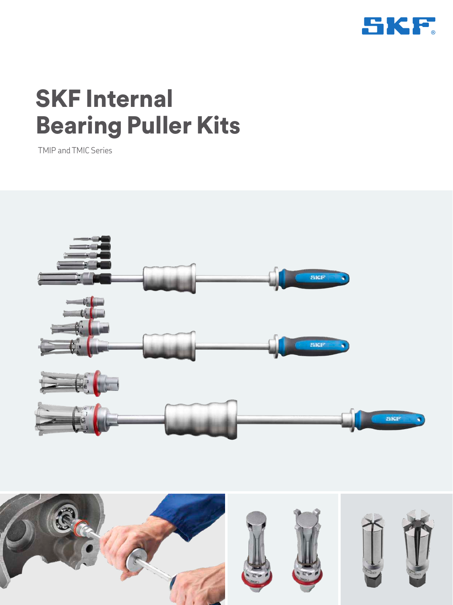

# SKF Internal Bearing Puller Kits

TMIP and TMIC Series



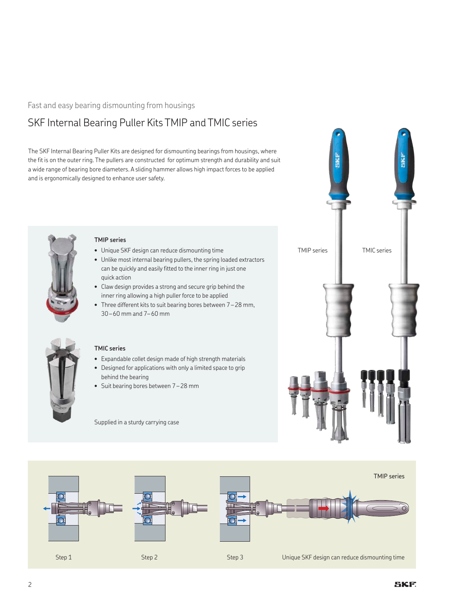### Fast and easy bearing dismounting from housings

## SKF Internal Bearing Puller Kits TMIP and TMIC series

The SKF Internal Bearing Puller Kits are designed for dismounting bearings from housings, where the fit is on the outer ring. The pullers are constructed for optimum strength and durability and suit a wide range of bearing bore diameters. A sliding hammer allows high impact forces to be applied and is ergonomically designed to enhance user safety.



#### **TMIP series**

- Unique SKF design can reduce dismounting time
- Unlike most internal bearing pullers, the spring loaded extractors can be quickly and easily fitted to the inner ring in just one quick action
- Claw design provides a strong and secure grip behind the inner ring allowing a high puller force to be applied
- Three different kits to suit bearing bores between 7 28 mm, 30 – 60 mm and 7– 60 mm



#### **TMIC series**

- Expandable collet design made of high strength materials
- Designed for applications with only a limited space to grip behind the bearing
- Suit bearing bores between 7 28 mm

Supplied in a sturdy carrying case



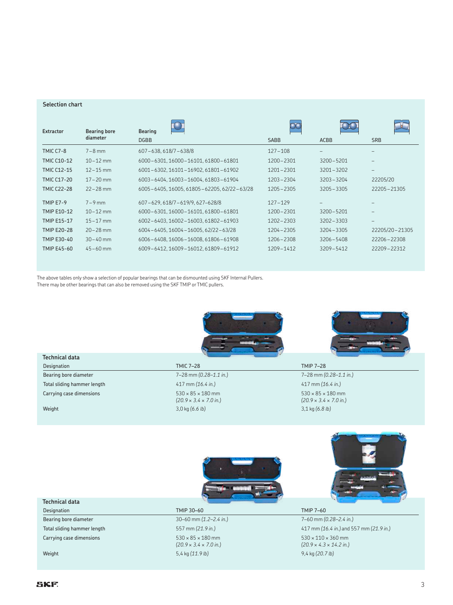#### **Selection chart**

| Extractor          | <b>Bearing bore</b> | <b>Bearing</b>                             |               |               |                          |
|--------------------|---------------------|--------------------------------------------|---------------|---------------|--------------------------|
|                    | diameter            | <b>DGBB</b>                                | <b>SABB</b>   | <b>ACBB</b>   | <b>SRB</b>               |
| <b>TMIC C7-8</b>   | $7-8$ mm            | $607 - 638, 618/7 - 638/8$                 | $127 - 108$   |               |                          |
| <b>TMIC C10-12</b> | $10 - 12$ mm        | 6000-6301, 16000-16101, 61800-61801        | $1200 - 2301$ | $3200 - 5201$ |                          |
| <b>TMIC C12-15</b> | $12 - 15$ mm        | 6001-6302, 16101-16902, 61801-61902        | 1201-2301     | $3201 - 3202$ | $\overline{\phantom{0}}$ |
| <b>TMIC C17-20</b> | $17 - 20$ mm        | 6003-6404.16003-16004.61803-61904          | $1203 - 2304$ | $3203 - 3204$ | 22205/20                 |
| <b>TMIC C22-28</b> | $22 - 28$ mm        | 6005-6405, 16005, 61805-62205, 62/22-63/28 | $1205 - 2305$ | $3205 - 3305$ | 22205-21305              |
| <b>TMIP E7-9</b>   | $7-9$ mm            | 607-629, 618/7-619/9, 627-628/8            | $127 - 129$   |               |                          |
| TMIP E10-12        | $10 - 12$ mm        | 6000-6301.16000-16101.61800-61801          | 1200-2301     | $3200 - 5201$ |                          |
| <b>TMIP E15-17</b> | $15 - 17$ mm        | 6002-6403, 16002-16003, 61802-61903        | $1202 - 2303$ | $3202 - 3303$ | -                        |
| <b>TMIP E20-28</b> | $20 - 28$ mm        | 6004-6405, 16004-16005, 62/22-63/28        | 1204-2305     | $3204 - 3305$ | 22205/20-21305           |
| TMIP E30-40        | $30 - 40$ mm        | 6006-6408.16006-16008.61806-61908          | 1206-2308     | $3206 - 5408$ | 22206-22308              |
| TMIP E45-60        | $45 - 60$ mm        | 6009-6412, 16009-16012, 61809-61912        | 1209-1412     | $3209 - 5412$ | 22209-22312              |

The above tables only show a selection of popular bearings that can be dismounted using SKF Internal Pullers.

There may be other bearings that can also be removed using the SKF TMIP or TMIC pullers.

| <b>Technical data</b>       |                                                                             |                                                                             |
|-----------------------------|-----------------------------------------------------------------------------|-----------------------------------------------------------------------------|
| Designation                 | <b>TMIC 7-28</b>                                                            | <b>TMIP 7-28</b>                                                            |
| Bearing bore diameter       | 7-28 mm (0.28-1.1 in.)                                                      | 7-28 mm (0.28-1.1 in.)                                                      |
| Total sliding hammer length | 417 mm (16.4 in.)                                                           | 417 mm (16.4 in.)                                                           |
| Carrying case dimensions    | $530 \times 85 \times 180$ mm<br>$(20.9 \times 3.4 \times 7.0 \text{ in.})$ | $530 \times 85 \times 180$ mm<br>$(20.9 \times 3.4 \times 7.0 \text{ in.})$ |
| Weight                      | 3,0 kg (6.6 lb)                                                             | 3,1 kg (6.8 lb)                                                             |
|                             |                                                                             |                                                                             |
| <b>Technical data</b>       |                                                                             |                                                                             |
| <b>Designation</b>          | <b>TMIP 30-60</b>                                                           | <b>TMIP 7-60</b>                                                            |

| Designation                 | TMIP 30-60                                                                  | <b>TMIP 7-60</b>                                                              |
|-----------------------------|-----------------------------------------------------------------------------|-------------------------------------------------------------------------------|
| Bearing bore diameter       | 30–60 mm $(1.2–2.4 \text{ in.})$                                            | $7 - 60$ mm $(0.28 - 2.4$ in.)                                                |
| Total sliding hammer length | 557 mm (21.9 in.)                                                           | 417 mm (16.4 in.) and 557 mm (21.9 in.)                                       |
| Carrying case dimensions    | $530 \times 85 \times 180$ mm<br>$(20.9 \times 3.4 \times 7.0 \text{ in.})$ | $530 \times 110 \times 360$ mm<br>$(20.9 \times 4.3 \times 14.2 \text{ in.})$ |
| Weight                      | 5,4 kg $(11.9 lb)$                                                          | $9,4 \text{ kg} (20.7 \text{ lb})$                                            |
|                             |                                                                             |                                                                               |